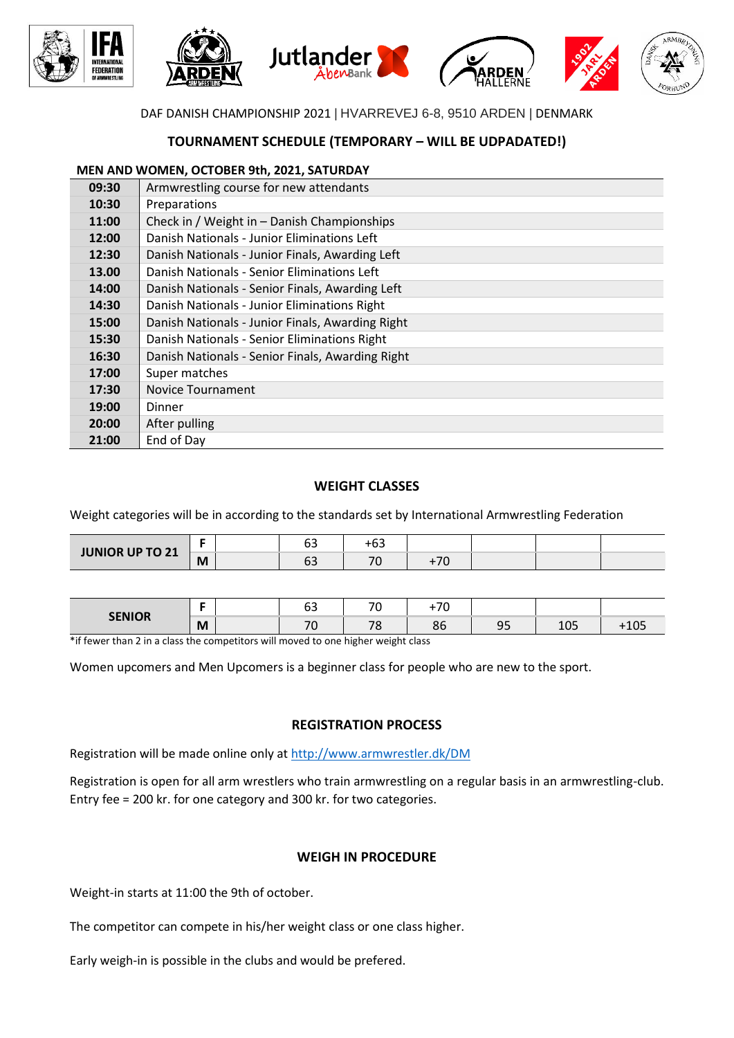

## DAF DANISH CHAMPIONSHIP 2021 | HVARREVEJ 6-8, 9510 ARDEN | DENMARK

# **TOURNAMENT SCHEDULE (TEMPORARY – WILL BE UDPADATED!)**

#### **MEN AND WOMEN, OCTOBER 9th, 2021, SATURDAY**

| 09:30 | Armwrestling course for new attendants           |
|-------|--------------------------------------------------|
| 10:30 | Preparations                                     |
| 11:00 | Check in / Weight in - Danish Championships      |
| 12:00 | Danish Nationals - Junior Eliminations Left      |
| 12:30 | Danish Nationals - Junior Finals, Awarding Left  |
| 13.00 | Danish Nationals - Senior Eliminations Left      |
| 14:00 | Danish Nationals - Senior Finals, Awarding Left  |
| 14:30 | Danish Nationals - Junior Eliminations Right     |
| 15:00 | Danish Nationals - Junior Finals, Awarding Right |
| 15:30 | Danish Nationals - Senior Eliminations Right     |
| 16:30 | Danish Nationals - Senior Finals, Awarding Right |
| 17:00 | Super matches                                    |
| 17:30 | <b>Novice Tournament</b>                         |
| 19:00 | Dinner                                           |
| 20:00 | After pulling                                    |
| 21:00 | End of Day                                       |

### **WEIGHT CLASSES**

Weight categories will be in according to the standards set by International Armwrestling Federation

| <b>JUNIOR UP TO 21</b> |   | --<br>υ., | $\sim$ $\sim$            |     |  |  |
|------------------------|---|-----------|--------------------------|-----|--|--|
|                        | M | υ.        | $\overline{\phantom{a}}$ | $-$ |  |  |

| <b>CENIOD</b> | $-$ | --<br>ບວ                 | $\overline{\phantom{a}}$ | $\overline{\phantom{a}}$ |                           |                  |         |
|---------------|-----|--------------------------|--------------------------|--------------------------|---------------------------|------------------|---------|
|               | M   | $\overline{\phantom{a}}$ | 70                       | $\Omega$<br>.<br>οι      | $\sim$ $\sim$<br><u>.</u> | $\sim$ $-$<br>ᅩ◡ | - U - 1 |

\*if fewer than 2 in a class the competitors will moved to one higher weight class

Women upcomers and Men Upcomers is a beginner class for people who are new to the sport.

### **REGISTRATION PROCESS**

Registration will be made online only at<http://www.armwrestler.dk/DM>

Registration is open for all arm wrestlers who train armwrestling on a regular basis in an armwrestling-club. Entry fee = 200 kr. for one category and 300 kr. for two categories.

### **WEIGH IN PROCEDURE**

Weight-in starts at 11:00 the 9th of october.

The competitor can compete in his/her weight class or one class higher.

Early weigh-in is possible in the clubs and would be prefered.